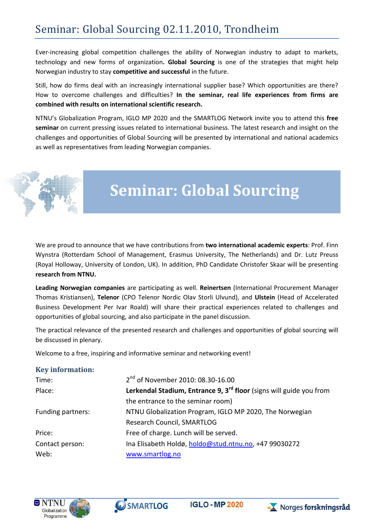# Seminar: Global Sourcing 02.11.2010, Trondheim

Ever-increasing global competition challenges the ability of Norwegian industry to adapt to markets, technology and new forms of organization**. Global Sourcing** is one of the strategies that might help Norwegian industry to stay **competitive and successful** in the future.

Still, how do firms deal with an increasingly international supplier base? Which opportunities are there? How to overcome challenges and difficulties? **In the seminar, real life experiences from firms are combined with results on international scientific research.**

NTNU's Globalization Program, IGLO MP 2020 and the SMARTLOG Network invite you to attend this **free seminar** on current pressing issues related to international business. The latest research and insight on the challenges and opportunities of Global Sourcing will be presented by international and national academics as well as representatives from leading Norwegian companies.



# **Seminar: Global Sourcing**

We are proud to announce that we have contributions from **two international academic experts**: Prof. Finn Wynstra (Rotterdam School of Management, Erasmus University, The Netherlands) and Dr. Lutz Preuss (Royal Holloway, University of London, UK). In addition, PhD Candidate Christofer Skaar will be presenting **research from NTNU.**

**Leading Norwegian companies** are participating as well. **Reinertsen** (International Procurement Manager Thomas Kristiansen), **Telenor** (CPO Telenor Nordic Olav Storli Ulvund), and **Ulstein** (Head of Accelerated Business Development Per Ivar Roald) will share their practical experiences related to challenges and opportunities of global sourcing, and also participate in the panel discussion.

The practical relevance of the presented research and challenges and opportunities of global sourcing will be discussed in plenary.

Welcome to a free, inspiring and informative seminar and networking event!

#### **Key information:**

| Time:             | 2 <sup>nd</sup> of November 2010: 08.30-16.00                                   |
|-------------------|---------------------------------------------------------------------------------|
| Place:            | Lerkendal Stadium, Entrance 9, 3 <sup>rd</sup> floor (signs will guide you from |
|                   | the entrance to the seminar room)                                               |
| Funding partners: | NTNU Globalization Program, IGLO MP 2020, The Norwegian                         |
|                   | Research Council, SMARTLOG                                                      |
| Price:            | Free of charge. Lunch will be served.                                           |
| Contact person:   | Ina Elisabeth Holdø, holdo@stud.ntnu.no, +47 99030272                           |
| Web:              | www.smartlog.no                                                                 |







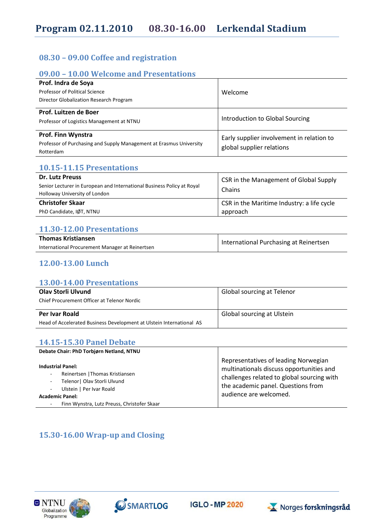### **08.30 – 09.00 Coffee and registration**

## **09.00 – 10.00 Welcome and Presentations**

| Prof. Indra de Soya<br>Professor of Political Science<br>Director Globalization Research Program              | Welcome                                                                |
|---------------------------------------------------------------------------------------------------------------|------------------------------------------------------------------------|
| Prof. Luitzen de Boer<br>Professor of Logistics Management at NTNU                                            | Introduction to Global Sourcing                                        |
| <b>Prof. Finn Wynstra</b><br>Professor of Purchasing and Supply Management at Erasmus University<br>Rotterdam | Early supplier involvement in relation to<br>global supplier relations |

#### **10.15-11.15 Presentations**

| <b>Dr. Lutz Preuss</b>                                                 | <b>CSR</b> in the Management of Global Supply<br>Chains |  |
|------------------------------------------------------------------------|---------------------------------------------------------|--|
| Senior Lecturer in European and International Business Policy at Royal |                                                         |  |
| Holloway University of London                                          |                                                         |  |
| <b>Christofer Skaar</b>                                                | <b>CSR</b> in the Maritime Industry: a life cycle       |  |
| PhD Candidate, IØT, NTNU                                               | approach                                                |  |

#### **11.30-12.00 Presentations**

| <b>Thomas Kristiansen</b>                       | International Purchasing at Reinertsen |  |
|-------------------------------------------------|----------------------------------------|--|
| International Procurement Manager at Reinertsen |                                        |  |

## **12.00-13.00 Lunch**

#### **13.00-14.00 Presentations**

| Olav Storli Ulvund<br>Chief Procurement Officer at Telenor Nordic    | <b>Global sourcing at Telenor</b> |
|----------------------------------------------------------------------|-----------------------------------|
| Per Ivar Roald                                                       | Global sourcing at Ulstein        |
| Head of Accelerated Business Development at Ulstein International AS |                                   |

### **14.15-15.30 Panel Debate**

| Debate Chair: PhD Torbiørn Netland, NTNU                                                                                                                                                                                                    |                                                                                                                                                                                                |
|---------------------------------------------------------------------------------------------------------------------------------------------------------------------------------------------------------------------------------------------|------------------------------------------------------------------------------------------------------------------------------------------------------------------------------------------------|
| <b>Industrial Panel:</b><br>Reinertsen   Thomas Kristiansen<br>$\sim$<br>Telenor   Olav Storli Ulvund<br>$\blacksquare$<br>Ulstein   Per Ivar Roald<br>$\sim$<br><b>Academic Panel:</b><br>Finn Wynstra, Lutz Preuss, Christofer Skaar<br>٠ | Representatives of leading Norwegian<br>multinationals discuss opportunities and<br>challenges related to global sourcing with<br>the academic panel. Questions from<br>audience are welcomed. |

## **15.30-16.00 Wrap-up and Closing**







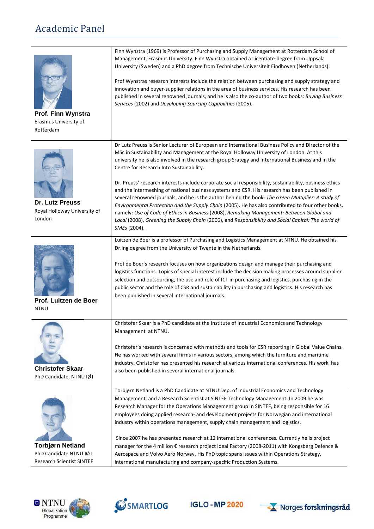# Academic Panel

| Prof. Finn Wynstra<br>Erasmus University of<br>Rotterdam                              | Finn Wynstra (1969) is Professor of Purchasing and Supply Management at Rotterdam School of<br>Management, Erasmus University. Finn Wynstra obtained a Licentiate-degree from Uppsala<br>University (Sweden) and a PhD degree from Technische Universiteit Eindhoven (Netherlands).<br>Prof Wynstras research interests include the relation between purchasing and supply strategy and<br>innovation and buyer-supplier relations in the area of business services. His research has been<br>published in several renowned journals, and he is also the co-author of two books: Buying Business<br>Services (2002) and Developing Sourcing Capabilities (2005).                                                                                                                                                                                                                                                                                                                             |
|---------------------------------------------------------------------------------------|----------------------------------------------------------------------------------------------------------------------------------------------------------------------------------------------------------------------------------------------------------------------------------------------------------------------------------------------------------------------------------------------------------------------------------------------------------------------------------------------------------------------------------------------------------------------------------------------------------------------------------------------------------------------------------------------------------------------------------------------------------------------------------------------------------------------------------------------------------------------------------------------------------------------------------------------------------------------------------------------|
| <b>Dr. Lutz Preuss</b><br>Royal Holloway University of<br>London                      | Dr Lutz Preuss is Senior Lecturer of European and International Business Policy and Director of the<br>MSc in Sustainability and Management at the Royal Holloway University of London. At this<br>university he is also involved in the research group Srategy and International Business and in the<br>Centre for Research Into Sustainability.<br>Dr. Preuss' research interests include corporate social responsibility, sustainability, business ethics<br>and the intermeshing of national business systems and CSR. His research has been published in<br>several renowned journals, and he is the author behind the book: The Green Multiplier: A study of<br>Environmental Protection and the Supply Chain (2005). He has also contributed to four other books,<br>namely: Use of Code of Ethics in Business (2008), Remaking Management: Between Global and<br>Local (2008), Greening the Supply Chain (2006), and Responsibility and Social Capital: The world of<br>SMEs (2004). |
| Prof. Luitzen de Boer<br><b>NTNU</b>                                                  | Luitzen de Boer is a professor of Purchasing and Logistics Management at NTNU. He obtained his<br>Dr.ing degree from the University of Twente in the Netherlands.<br>Prof de Boer's research focuses on how organizations design and manage their purchasing and<br>logistics functions. Topics of special interest include the decision making processes around supplier<br>selection and outsourcing, the use and role of ICT in purchasing and logistics, purchasing in the<br>public sector and the role of CSR and sustainability in purchasing and logistics. His research has<br>been published in several international journals.                                                                                                                                                                                                                                                                                                                                                    |
| <b>Christofer Skaar</b><br>PhD Candidate, NTNU IØT                                    | Christofer Skaar is a PhD candidate at the Institute of Industrial Economics and Technology<br>Management at NTNU.<br>Christofer's research is concerned with methods and tools for CSR reporting in Global Value Chains.<br>He has worked with several firms in various sectors, among which the furniture and maritime<br>industry. Christofer has presented his research at various international conferences. His work has<br>also been published in several international journals.                                                                                                                                                                                                                                                                                                                                                                                                                                                                                                     |
| <b>Torbjørn Netland</b><br>PhD Candidate NTNU IØT<br><b>Research Scientist SINTEF</b> | Torbjørn Netland is a PhD Candidate at NTNU Dep. of Industrial Economics and Technology<br>Management, and a Research Scientist at SINTEF Technology Management. In 2009 he was<br>Research Manager for the Operations Management group in SINTEF, being responsible for 16<br>employees doing applied research- and development projects for Norwegian and international<br>industry within operations management, supply chain management and logistics.<br>Since 2007 he has presented research at 12 international conferences. Currently he is project<br>manager for the 4 million € research project Ideal Factory (2008-2011) with Kongsberg Defence &<br>Aerospace and Volvo Aero Norway. His PhD topic spans issues within Operations Strategy,<br>international manufacturing and company-specific Production Systems.                                                                                                                                                            |